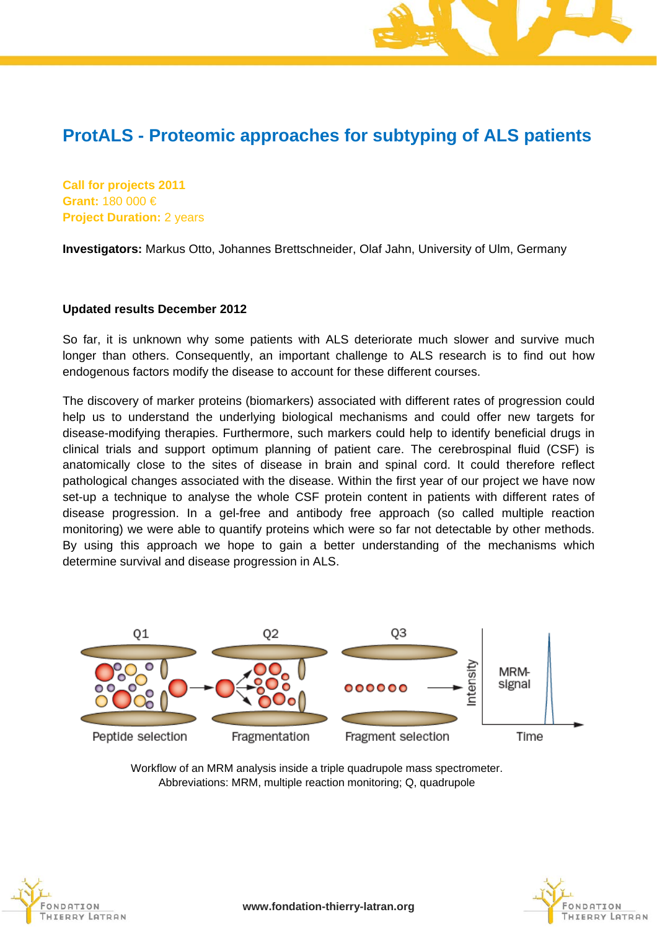## **ProtALS - Proteomic approaches for subtyping of ALS patients**

**Call for projects 2011 Grant:** 180 000 € **Project Duration:** 2 years

**Investigators:** Markus Otto, Johannes Brettschneider, Olaf Jahn, University of Ulm, Germany

## **Updated results December 2012**

So far, it is unknown why some patients with ALS deteriorate much slower and survive much longer than others. Consequently, an important challenge to ALS research is to find out how endogenous factors modify the disease to account for these different courses.

The discovery of marker proteins (biomarkers) associated with different rates of progression could help us to understand the underlying biological mechanisms and could offer new targets for disease-modifying therapies. Furthermore, such markers could help to identify beneficial drugs in clinical trials and support optimum planning of patient care. The cerebrospinal fluid (CSF) is anatomically close to the sites of disease in brain and spinal cord. It could therefore reflect pathological changes associated with the disease. Within the first year of our project we have now set-up a technique to analyse the whole CSF protein content in patients with different rates of disease progression. In a gel-free and antibody free approach (so called multiple reaction monitoring) we were able to quantify proteins which were so far not detectable by other methods. By using this approach we hope to gain a better understanding of the mechanisms which determine survival and disease progression in ALS.



Workflow of an MRM analysis inside a triple quadrupole mass spectrometer. Abbreviations: MRM, multiple reaction monitoring; Q, quadrupole